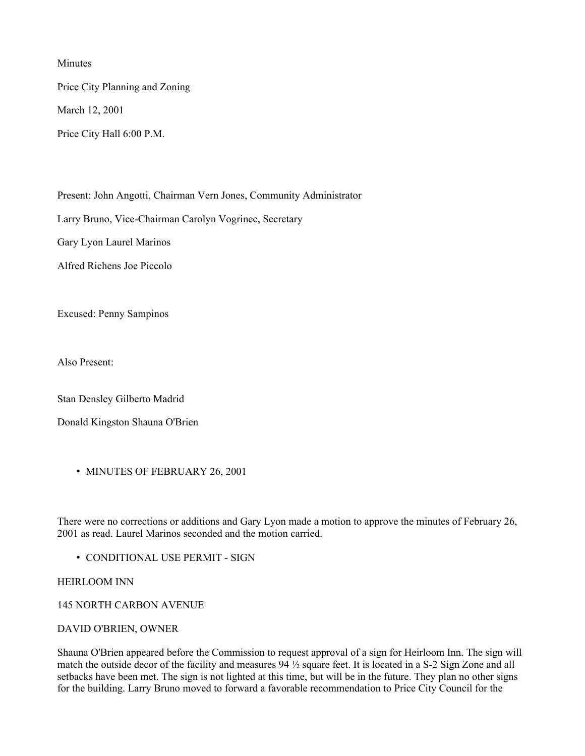Minutes

Price City Planning and Zoning

March 12, 2001

Price City Hall 6:00 P.M.

Present: John Angotti, Chairman Vern Jones, Community Administrator Larry Bruno, Vice-Chairman Carolyn Vogrinec, Secretary Gary Lyon Laurel Marinos Alfred Richens Joe Piccolo

Excused: Penny Sampinos

Also Present:

Stan Densley Gilberto Madrid

Donald Kingston Shauna O'Brien

• MINUTES OF FEBRUARY 26, 2001

There were no corrections or additions and Gary Lyon made a motion to approve the minutes of February 26, 2001 as read. Laurel Marinos seconded and the motion carried.

• CONDITIONAL USE PERMIT - SIGN

HEIRLOOM INN

145 NORTH CARBON AVENUE

DAVID O'BRIEN, OWNER

Shauna O'Brien appeared before the Commission to request approval of a sign for Heirloom Inn. The sign will match the outside decor of the facility and measures 94 ½ square feet. It is located in a S-2 Sign Zone and all setbacks have been met. The sign is not lighted at this time, but will be in the future. They plan no other signs for the building. Larry Bruno moved to forward a favorable recommendation to Price City Council for the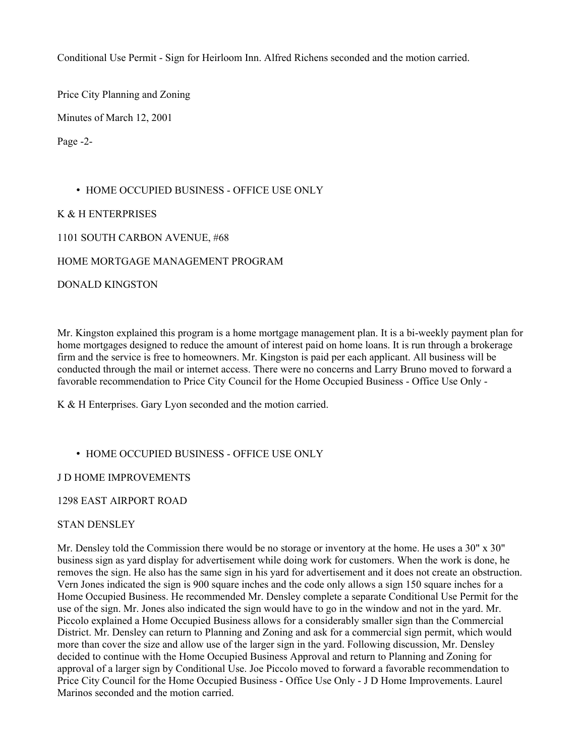Conditional Use Permit - Sign for Heirloom Inn. Alfred Richens seconded and the motion carried.

Price City Planning and Zoning

Minutes of March 12, 2001

Page -2-

### • HOME OCCUPIED BUSINESS - OFFICE USE ONLY

K & H ENTERPRISES

1101 SOUTH CARBON AVENUE, #68

HOME MORTGAGE MANAGEMENT PROGRAM

DONALD KINGSTON

Mr. Kingston explained this program is a home mortgage management plan. It is a bi-weekly payment plan for home mortgages designed to reduce the amount of interest paid on home loans. It is run through a brokerage firm and the service is free to homeowners. Mr. Kingston is paid per each applicant. All business will be conducted through the mail or internet access. There were no concerns and Larry Bruno moved to forward a favorable recommendation to Price City Council for the Home Occupied Business - Office Use Only -

K & H Enterprises. Gary Lyon seconded and the motion carried.

# • HOME OCCUPIED BUSINESS - OFFICE USE ONLY

J D HOME IMPROVEMENTS

1298 EAST AIRPORT ROAD

#### STAN DENSLEY

Mr. Densley told the Commission there would be no storage or inventory at the home. He uses a 30" x 30" business sign as yard display for advertisement while doing work for customers. When the work is done, he removes the sign. He also has the same sign in his yard for advertisement and it does not create an obstruction. Vern Jones indicated the sign is 900 square inches and the code only allows a sign 150 square inches for a Home Occupied Business. He recommended Mr. Densley complete a separate Conditional Use Permit for the use of the sign. Mr. Jones also indicated the sign would have to go in the window and not in the yard. Mr. Piccolo explained a Home Occupied Business allows for a considerably smaller sign than the Commercial District. Mr. Densley can return to Planning and Zoning and ask for a commercial sign permit, which would more than cover the size and allow use of the larger sign in the yard. Following discussion, Mr. Densley decided to continue with the Home Occupied Business Approval and return to Planning and Zoning for approval of a larger sign by Conditional Use. Joe Piccolo moved to forward a favorable recommendation to Price City Council for the Home Occupied Business - Office Use Only - J D Home Improvements. Laurel Marinos seconded and the motion carried.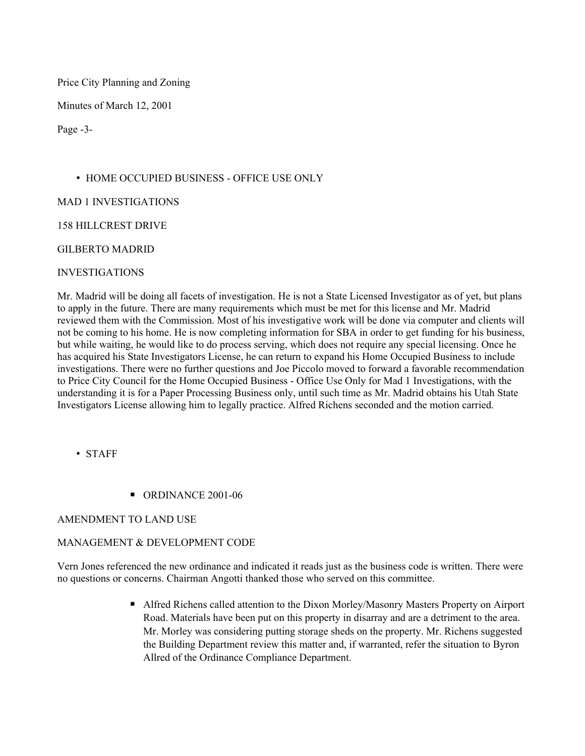Price City Planning and Zoning

Minutes of March 12, 2001

Page -3-

# • HOME OCCUPIED BUSINESS - OFFICE USE ONLY

MAD 1 INVESTIGATIONS

158 HILLCREST DRIVE

### GILBERTO MADRID

### INVESTIGATIONS

Mr. Madrid will be doing all facets of investigation. He is not a State Licensed Investigator as of yet, but plans to apply in the future. There are many requirements which must be met for this license and Mr. Madrid reviewed them with the Commission. Most of his investigative work will be done via computer and clients will not be coming to his home. He is now completing information for SBA in order to get funding for his business, but while waiting, he would like to do process serving, which does not require any special licensing. Once he has acquired his State Investigators License, he can return to expand his Home Occupied Business to include investigations. There were no further questions and Joe Piccolo moved to forward a favorable recommendation to Price City Council for the Home Occupied Business - Office Use Only for Mad 1 Investigations, with the understanding it is for a Paper Processing Business only, until such time as Mr. Madrid obtains his Utah State Investigators License allowing him to legally practice. Alfred Richens seconded and the motion carried.

• STAFF

■ ORDINANCE 2001-06

# AMENDMENT TO LAND USE

# MANAGEMENT & DEVELOPMENT CODE

Vern Jones referenced the new ordinance and indicated it reads just as the business code is written. There were no questions or concerns. Chairman Angotti thanked those who served on this committee.

> ■ Alfred Richens called attention to the Dixon Morley/Masonry Masters Property on Airport Road. Materials have been put on this property in disarray and are a detriment to the area. Mr. Morley was considering putting storage sheds on the property. Mr. Richens suggested the Building Department review this matter and, if warranted, refer the situation to Byron Allred of the Ordinance Compliance Department.